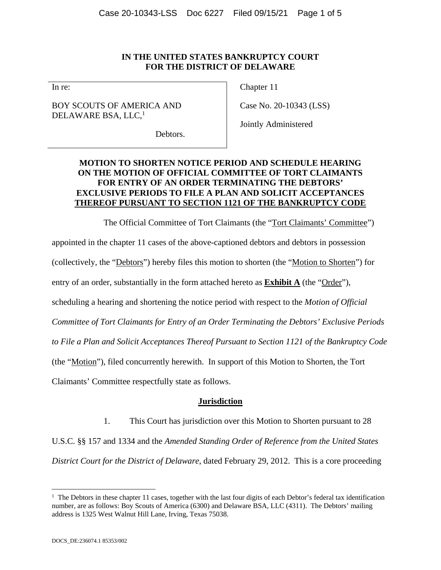### **IN THE UNITED STATES BANKRUPTCY COURT FOR THE DISTRICT OF DELAWARE**

In re:

BOY SCOUTS OF AMERICA AND DELAWARE BSA, LLC,<sup>1</sup>

Chapter 11

Case No. 20-10343 (LSS)

Jointly Administered

Debtors.

# **MOTION TO SHORTEN NOTICE PERIOD AND SCHEDULE HEARING ON THE MOTION OF OFFICIAL COMMITTEE OF TORT CLAIMANTS FOR ENTRY OF AN ORDER TERMINATING THE DEBTORS' EXCLUSIVE PERIODS TO FILE A PLAN AND SOLICIT ACCEPTANCES THEREOF PURSUANT TO SECTION 1121 OF THE BANKRUPTCY CODE**

The Official Committee of Tort Claimants (the "Tort Claimants' Committee") appointed in the chapter 11 cases of the above-captioned debtors and debtors in possession (collectively, the "Debtors") hereby files this motion to shorten (the "Motion to Shorten") for entry of an order, substantially in the form attached hereto as **Exhibit A** (the "Order"), scheduling a hearing and shortening the notice period with respect to the *Motion of Official Committee of Tort Claimants for Entry of an Order Terminating the Debtors' Exclusive Periods to File a Plan and Solicit Acceptances Thereof Pursuant to Section 1121 of the Bankruptcy Code*  (the "Motion"), filed concurrently herewith. In support of this Motion to Shorten, the Tort Claimants' Committee respectfully state as follows.

## **Jurisdiction**

1. This Court has jurisdiction over this Motion to Shorten pursuant to 28

U.S.C. §§ 157 and 1334 and the *Amended Standing Order of Reference from the United States District Court for the District of Delaware*, dated February 29, 2012. This is a core proceeding

 $\overline{a}$ 

<sup>&</sup>lt;sup>1</sup> The Debtors in these chapter 11 cases, together with the last four digits of each Debtor's federal tax identification number, are as follows: Boy Scouts of America (6300) and Delaware BSA, LLC (4311). The Debtors' mailing address is 1325 West Walnut Hill Lane, Irving, Texas 75038.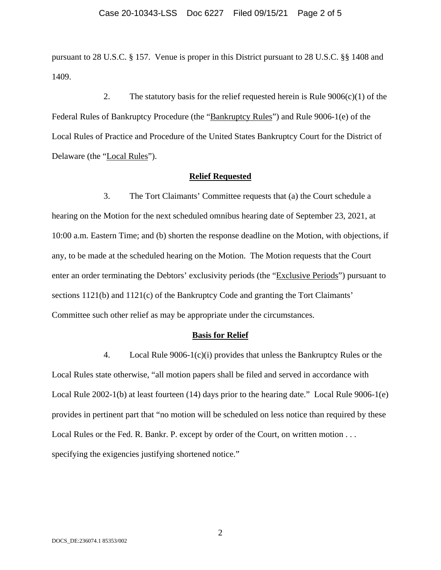pursuant to 28 U.S.C. § 157. Venue is proper in this District pursuant to 28 U.S.C. §§ 1408 and 1409.

2. The statutory basis for the relief requested herein is Rule  $9006(c)(1)$  of the Federal Rules of Bankruptcy Procedure (the "Bankruptcy Rules") and Rule 9006-1(e) of the Local Rules of Practice and Procedure of the United States Bankruptcy Court for the District of Delaware (the "Local Rules").

#### **Relief Requested**

3. The Tort Claimants' Committee requests that (a) the Court schedule a hearing on the Motion for the next scheduled omnibus hearing date of September 23, 2021, at 10:00 a.m. Eastern Time; and (b) shorten the response deadline on the Motion, with objections, if any, to be made at the scheduled hearing on the Motion. The Motion requests that the Court enter an order terminating the Debtors' exclusivity periods (the "Exclusive Periods") pursuant to sections 1121(b) and 1121(c) of the Bankruptcy Code and granting the Tort Claimants' Committee such other relief as may be appropriate under the circumstances.

#### **Basis for Relief**

4. Local Rule 9006-1(c)(i) provides that unless the Bankruptcy Rules or the Local Rules state otherwise, "all motion papers shall be filed and served in accordance with Local Rule 2002-1(b) at least fourteen (14) days prior to the hearing date." Local Rule 9006-1(e) provides in pertinent part that "no motion will be scheduled on less notice than required by these Local Rules or the Fed. R. Bankr. P. except by order of the Court, on written motion . . . specifying the exigencies justifying shortened notice."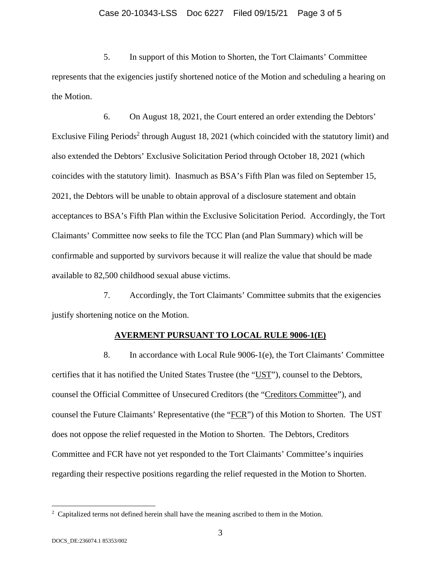### Case 20-10343-LSS Doc 6227 Filed 09/15/21 Page 3 of 5

5. In support of this Motion to Shorten, the Tort Claimants' Committee represents that the exigencies justify shortened notice of the Motion and scheduling a hearing on the Motion.

6. On August 18, 2021, the Court entered an order extending the Debtors' Exclusive Filing Periods<sup>2</sup> through August 18, 2021 (which coincided with the statutory limit) and also extended the Debtors' Exclusive Solicitation Period through October 18, 2021 (which coincides with the statutory limit). Inasmuch as BSA's Fifth Plan was filed on September 15, 2021, the Debtors will be unable to obtain approval of a disclosure statement and obtain acceptances to BSA's Fifth Plan within the Exclusive Solicitation Period. Accordingly, the Tort Claimants' Committee now seeks to file the TCC Plan (and Plan Summary) which will be confirmable and supported by survivors because it will realize the value that should be made available to 82,500 childhood sexual abuse victims.

7. Accordingly, the Tort Claimants' Committee submits that the exigencies justify shortening notice on the Motion.

#### **AVERMENT PURSUANT TO LOCAL RULE 9006-1(E)**

8. In accordance with Local Rule 9006-1(e), the Tort Claimants' Committee certifies that it has notified the United States Trustee (the "UST"), counsel to the Debtors, counsel the Official Committee of Unsecured Creditors (the "Creditors Committee"), and counsel the Future Claimants' Representative (the "FCR") of this Motion to Shorten. The UST does not oppose the relief requested in the Motion to Shorten. The Debtors, Creditors Committee and FCR have not yet responded to the Tort Claimants' Committee's inquiries regarding their respective positions regarding the relief requested in the Motion to Shorten.

 $\overline{a}$ 

 $2^2$  Capitalized terms not defined herein shall have the meaning ascribed to them in the Motion.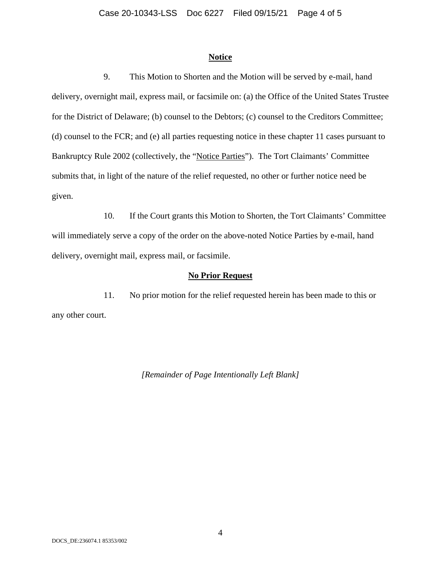#### **Notice**

9. This Motion to Shorten and the Motion will be served by e-mail, hand delivery, overnight mail, express mail, or facsimile on: (a) the Office of the United States Trustee for the District of Delaware; (b) counsel to the Debtors; (c) counsel to the Creditors Committee; (d) counsel to the FCR; and (e) all parties requesting notice in these chapter 11 cases pursuant to Bankruptcy Rule 2002 (collectively, the "Notice Parties"). The Tort Claimants' Committee submits that, in light of the nature of the relief requested, no other or further notice need be given.

10. If the Court grants this Motion to Shorten, the Tort Claimants' Committee will immediately serve a copy of the order on the above-noted Notice Parties by e-mail, hand delivery, overnight mail, express mail, or facsimile.

#### **No Prior Request**

11. No prior motion for the relief requested herein has been made to this or any other court.

*[Remainder of Page Intentionally Left Blank]*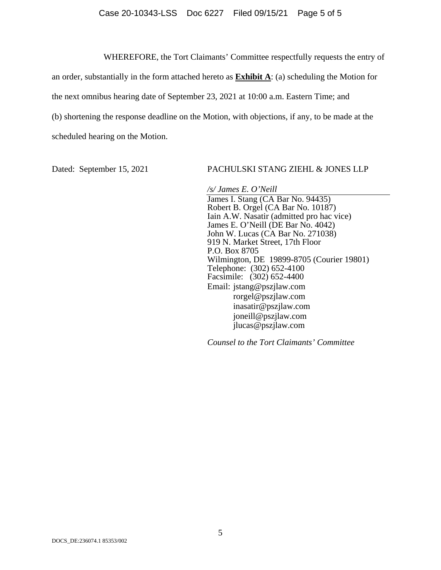#### Case 20-10343-LSS Doc 6227 Filed 09/15/21 Page 5 of 5

WHEREFORE, the Tort Claimants' Committee respectfully requests the entry of

an order, substantially in the form attached hereto as **Exhibit A**: (a) scheduling the Motion for the next omnibus hearing date of September 23, 2021 at 10:00 a.m. Eastern Time; and (b) shortening the response deadline on the Motion, with objections, if any, to be made at the scheduled hearing on the Motion.

Dated: September 15, 2021 PACHULSKI STANG ZIEHL & JONES LLP

*/s/ James E. O'Neill*  James I. Stang (CA Bar No. 94435) Robert B. Orgel (CA Bar No. 10187) Iain A.W. Nasatir (admitted pro hac vice) James E. O'Neill (DE Bar No. 4042) John W. Lucas (CA Bar No. 271038) 919 N. Market Street, 17th Floor P.O. Box 8705 Wilmington, DE 19899-8705 (Courier 19801) Telephone: (302) 652-4100 Facsimile: (302) 652-4400 Email: jstang@pszjlaw.com rorgel@pszjlaw.com inasatir@pszjlaw.com joneill@pszjlaw.com jlucas@pszjlaw.com

*Counsel to the Tort Claimants' Committee*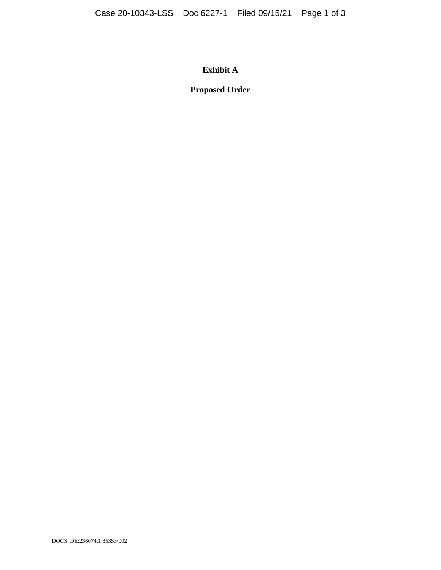# **Exhibit A**

# **Proposed Order**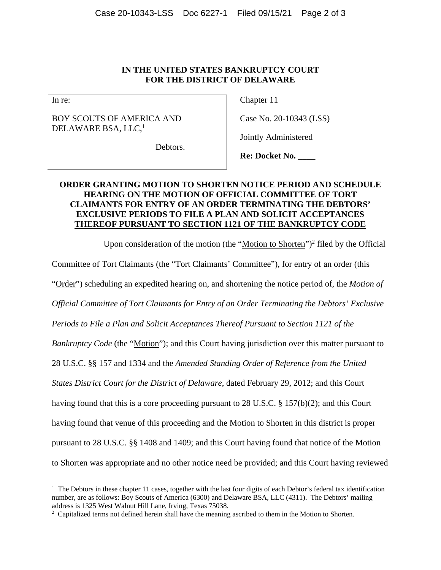### **IN THE UNITED STATES BANKRUPTCY COURT FOR THE DISTRICT OF DELAWARE**

In re:

 $\overline{a}$ 

BOY SCOUTS OF AMERICA AND DELAWARE BSA, LLC,<sup>1</sup>

Chapter 11

Case No. 20-10343 (LSS)

Debtors.

**Re: Docket No. \_\_\_\_** 

Jointly Administered

# **ORDER GRANTING MOTION TO SHORTEN NOTICE PERIOD AND SCHEDULE HEARING ON THE MOTION OF OFFICIAL COMMITTEE OF TORT CLAIMANTS FOR ENTRY OF AN ORDER TERMINATING THE DEBTORS' EXCLUSIVE PERIODS TO FILE A PLAN AND SOLICIT ACCEPTANCES THEREOF PURSUANT TO SECTION 1121 OF THE BANKRUPTCY CODE**

Upon consideration of the motion (the "Motion to Shorten")<sup>2</sup> filed by the Official Committee of Tort Claimants (the "Tort Claimants' Committee"), for entry of an order (this "Order") scheduling an expedited hearing on, and shortening the notice period of, the *Motion of Official Committee of Tort Claimants for Entry of an Order Terminating the Debtors' Exclusive Periods to File a Plan and Solicit Acceptances Thereof Pursuant to Section 1121 of the Bankruptcy Code* (the "Motion"); and this Court having jurisdiction over this matter pursuant to 28 U.S.C. §§ 157 and 1334 and the *Amended Standing Order of Reference from the United States District Court for the District of Delaware*, dated February 29, 2012; and this Court having found that this is a core proceeding pursuant to 28 U.S.C. § 157(b)(2); and this Court having found that venue of this proceeding and the Motion to Shorten in this district is proper pursuant to 28 U.S.C. §§ 1408 and 1409; and this Court having found that notice of the Motion to Shorten was appropriate and no other notice need be provided; and this Court having reviewed

<sup>&</sup>lt;sup>1</sup> The Debtors in these chapter 11 cases, together with the last four digits of each Debtor's federal tax identification number, are as follows: Boy Scouts of America (6300) and Delaware BSA, LLC (4311). The Debtors' mailing address is 1325 West Walnut Hill Lane, Irving, Texas 75038.

<sup>&</sup>lt;sup>2</sup> Capitalized terms not defined herein shall have the meaning ascribed to them in the Motion to Shorten.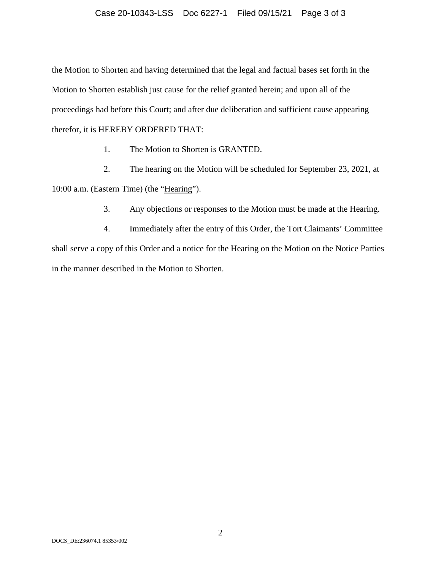#### Case 20-10343-LSS Doc 6227-1 Filed 09/15/21 Page 3 of 3

the Motion to Shorten and having determined that the legal and factual bases set forth in the Motion to Shorten establish just cause for the relief granted herein; and upon all of the proceedings had before this Court; and after due deliberation and sufficient cause appearing therefor, it is HEREBY ORDERED THAT:

1. The Motion to Shorten is GRANTED.

2. The hearing on the Motion will be scheduled for September 23, 2021, at 10:00 a.m. (Eastern Time) (the "Hearing").

3. Any objections or responses to the Motion must be made at the Hearing.

4. Immediately after the entry of this Order, the Tort Claimants' Committee shall serve a copy of this Order and a notice for the Hearing on the Motion on the Notice Parties in the manner described in the Motion to Shorten.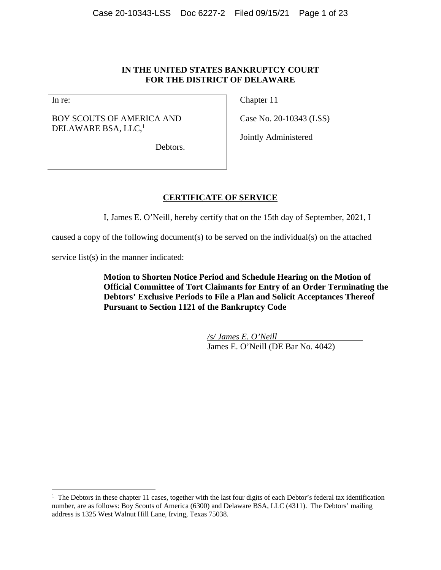### **IN THE UNITED STATES BANKRUPTCY COURT FOR THE DISTRICT OF DELAWARE**

In re:

 $\overline{a}$ 

BOY SCOUTS OF AMERICA AND DELAWARE BSA, LLC,<sup>1</sup>

Chapter 11

Case No. 20-10343 (LSS)

Jointly Administered

Debtors.

# **CERTIFICATE OF SERVICE**

I, James E. O'Neill, hereby certify that on the 15th day of September, 2021, I

caused a copy of the following document(s) to be served on the individual(s) on the attached

service list(s) in the manner indicated:

**Motion to Shorten Notice Period and Schedule Hearing on the Motion of Official Committee of Tort Claimants for Entry of an Order Terminating the Debtors' Exclusive Periods to File a Plan and Solicit Acceptances Thereof Pursuant to Section 1121 of the Bankruptcy Code** 

> */s/ James E. O'Neill*  James E. O'Neill (DE Bar No. 4042)

<sup>&</sup>lt;sup>1</sup> The Debtors in these chapter 11 cases, together with the last four digits of each Debtor's federal tax identification number, are as follows: Boy Scouts of America (6300) and Delaware BSA, LLC (4311). The Debtors' mailing address is 1325 West Walnut Hill Lane, Irving, Texas 75038.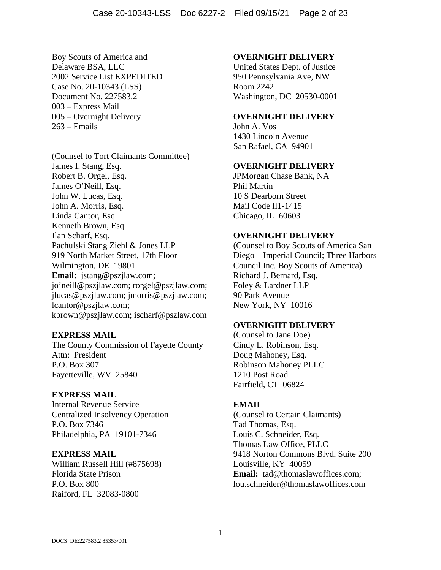Boy Scouts of America and Delaware BSA, LLC 2002 Service List EXPEDITED Case No. 20-10343 (LSS) Document No. 227583.2 003 – Express Mail 005 – Overnight Delivery 263 – Emails

(Counsel to Tort Claimants Committee) James I. Stang, Esq. Robert B. Orgel, Esq. James O'Neill, Esq. John W. Lucas, Esq. John A. Morris, Esq. Linda Cantor, Esq. Kenneth Brown, Esq. Ilan Scharf, Esq. Pachulski Stang Ziehl & Jones LLP 919 North Market Street, 17th Floor Wilmington, DE 19801 **Email:** jstang@pszjlaw.com; jo'neill@pszjlaw.com; rorgel@pszjlaw.com; jlucas@pszjlaw.com; jmorris@pszjlaw.com; lcantor@pszjlaw.com; kbrown@pszjlaw.com; ischarf@pszlaw.com

## **EXPRESS MAIL**

The County Commission of Fayette County Attn: President P.O. Box 307 Fayetteville, WV 25840

#### **EXPRESS MAIL**

Internal Revenue Service Centralized Insolvency Operation P.O. Box 7346 Philadelphia, PA 19101-7346

#### **EXPRESS MAIL**

William Russell Hill (#875698) Florida State Prison P.O. Box 800 Raiford, FL 32083-0800

#### **OVERNIGHT DELIVERY**

United States Dept. of Justice 950 Pennsylvania Ave, NW Room 2242 Washington, DC 20530-0001

### **OVERNIGHT DELIVERY**

John A. Vos 1430 Lincoln Avenue San Rafael, CA 94901

# **OVERNIGHT DELIVERY**

JPMorgan Chase Bank, NA Phil Martin 10 S Dearborn Street Mail Code Il1-1415 Chicago, IL 60603

### **OVERNIGHT DELIVERY**

(Counsel to Boy Scouts of America San Diego – Imperial Council; Three Harbors Council Inc. Boy Scouts of America) Richard J. Bernard, Esq. Foley & Lardner LLP 90 Park Avenue New York, NY 10016

#### **OVERNIGHT DELIVERY**

(Counsel to Jane Doe) Cindy L. Robinson, Esq. Doug Mahoney, Esq. Robinson Mahoney PLLC 1210 Post Road Fairfield, CT 06824

#### **EMAIL**

(Counsel to Certain Claimants) Tad Thomas, Esq. Louis C. Schneider, Esq. Thomas Law Office, PLLC 9418 Norton Commons Blvd, Suite 200 Louisville, KY 40059 **Email:** tad@thomaslawoffices.com; lou.schneider@thomaslawoffices.com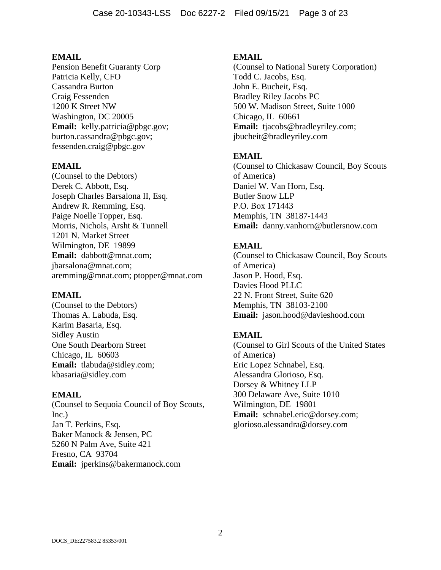Pension Benefit Guaranty Corp Patricia Kelly, CFO Cassandra Burton Craig Fessenden 1200 K Street NW Washington, DC 20005 **Email:** kelly.patricia@pbgc.gov; burton.cassandra@pbgc.gov; fessenden.craig@pbgc.gov

### **EMAIL**

(Counsel to the Debtors) Derek C. Abbott, Esq. Joseph Charles Barsalona II, Esq. Andrew R. Remming, Esq. Paige Noelle Topper, Esq. Morris, Nichols, Arsht & Tunnell 1201 N. Market Street Wilmington, DE 19899 **Email:** dabbott@mnat.com; jbarsalona@mnat.com; aremming@mnat.com; ptopper@mnat.com

#### **EMAIL**

(Counsel to the Debtors) Thomas A. Labuda, Esq. Karim Basaria, Esq. Sidley Austin One South Dearborn Street Chicago, IL 60603 **Email:** tlabuda@sidley.com; kbasaria@sidley.com

## **EMAIL**

(Counsel to Sequoia Council of Boy Scouts, Inc.) Jan T. Perkins, Esq. Baker Manock & Jensen, PC 5260 N Palm Ave, Suite 421 Fresno, CA 93704 **Email:** jperkins@bakermanock.com

### **EMAIL**

(Counsel to National Surety Corporation) Todd C. Jacobs, Esq. John E. Bucheit, Esq. Bradley Riley Jacobs PC 500 W. Madison Street, Suite 1000 Chicago, IL 60661 **Email:** tjacobs@bradleyriley.com; jbucheit@bradleyriley.com

## **EMAIL**

(Counsel to Chickasaw Council, Boy Scouts of America) Daniel W. Van Horn, Esq. Butler Snow LLP P.O. Box 171443 Memphis, TN 38187-1443 **Email:** danny.vanhorn@butlersnow.com

# **EMAIL**

(Counsel to Chickasaw Council, Boy Scouts of America) Jason P. Hood, Esq. Davies Hood PLLC 22 N. Front Street, Suite 620 Memphis, TN 38103-2100 **Email:** jason.hood@davieshood.com

## **EMAIL**

(Counsel to Girl Scouts of the United States of America) Eric Lopez Schnabel, Esq. Alessandra Glorioso, Esq. Dorsey & Whitney LLP 300 Delaware Ave, Suite 1010 Wilmington, DE 19801 **Email:** schnabel.eric@dorsey.com; glorioso.alessandra@dorsey.com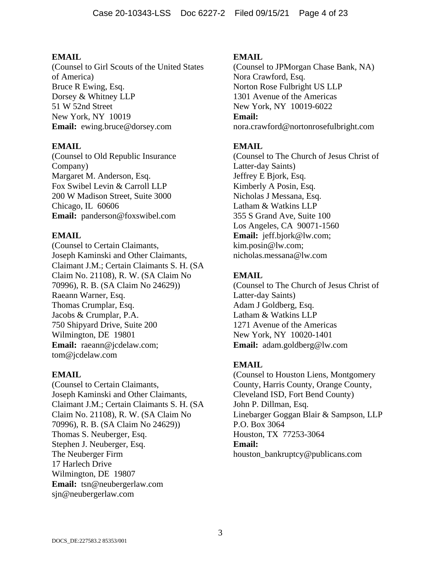(Counsel to Girl Scouts of the United States of America) Bruce R Ewing, Esq. Dorsey & Whitney LLP 51 W 52nd Street New York, NY 10019 **Email:** ewing.bruce@dorsey.com

# **EMAIL**

(Counsel to Old Republic Insurance Company) Margaret M. Anderson, Esq. Fox Swibel Levin & Carroll LLP 200 W Madison Street, Suite 3000 Chicago, IL 60606 **Email:** panderson@foxswibel.com

# **EMAIL**

(Counsel to Certain Claimants, Joseph Kaminski and Other Claimants, Claimant J.M.; Certain Claimants S. H. (SA Claim No. 21108), R. W. (SA Claim No 70996), R. B. (SA Claim No 24629)) Raeann Warner, Esq. Thomas Crumplar, Esq. Jacobs & Crumplar, P.A. 750 Shipyard Drive, Suite 200 Wilmington, DE 19801 **Email:** raeann@jcdelaw.com; tom@jcdelaw.com

## **EMAIL**

(Counsel to Certain Claimants, Joseph Kaminski and Other Claimants, Claimant J.M.; Certain Claimants S. H. (SA Claim No. 21108), R. W. (SA Claim No 70996), R. B. (SA Claim No 24629)) Thomas S. Neuberger, Esq. Stephen J. Neuberger, Esq. The Neuberger Firm 17 Harlech Drive Wilmington, DE 19807 **Email:** tsn@neubergerlaw.com sjn@neubergerlaw.com

# **EMAIL**

(Counsel to JPMorgan Chase Bank, NA) Nora Crawford, Esq. Norton Rose Fulbright US LLP 1301 Avenue of the Americas New York, NY 10019-6022 **Email:** nora.crawford@nortonrosefulbright.com

# **EMAIL**

(Counsel to The Church of Jesus Christ of Latter-day Saints) Jeffrey E Bjork, Esq. Kimberly A Posin, Esq. Nicholas J Messana, Esq. Latham & Watkins LLP 355 S Grand Ave, Suite 100 Los Angeles, CA 90071-1560 **Email:** jeff.bjork@lw.com; kim.posin@lw.com; nicholas.messana@lw.com

# **EMAIL**

(Counsel to The Church of Jesus Christ of Latter-day Saints) Adam J Goldberg, Esq. Latham & Watkins LLP 1271 Avenue of the Americas New York, NY 10020-1401 **Email:** adam.goldberg@lw.com

# **EMAIL**

(Counsel to Houston Liens, Montgomery County, Harris County, Orange County, Cleveland ISD, Fort Bend County) John P. Dillman, Esq. Linebarger Goggan Blair & Sampson, LLP P.O. Box 3064 Houston, TX 77253-3064 **Email:** houston\_bankruptcy@publicans.com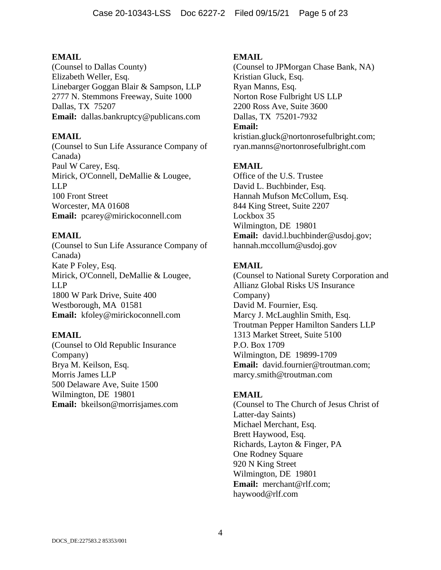(Counsel to Dallas County) Elizabeth Weller, Esq. Linebarger Goggan Blair & Sampson, LLP 2777 N. Stemmons Freeway, Suite 1000 Dallas, TX 75207 **Email:** dallas.bankruptcy@publicans.com

# **EMAIL**

(Counsel to Sun Life Assurance Company of Canada) Paul W Carey, Esq. Mirick, O'Connell, DeMallie & Lougee, LLP 100 Front Street Worcester, MA 01608 **Email:** pcarey@mirickoconnell.com

# **EMAIL**

(Counsel to Sun Life Assurance Company of Canada) Kate P Foley, Esq. Mirick, O'Connell, DeMallie & Lougee, LLP 1800 W Park Drive, Suite 400 Westborough, MA 01581 **Email:** kfoley@mirickoconnell.com

## **EMAIL**

(Counsel to Old Republic Insurance Company) Brya M. Keilson, Esq. Morris James LLP 500 Delaware Ave, Suite 1500 Wilmington, DE 19801 **Email:** bkeilson@morrisjames.com

# **EMAIL**

(Counsel to JPMorgan Chase Bank, NA) Kristian Gluck, Esq. Ryan Manns, Esq. Norton Rose Fulbright US LLP 2200 Ross Ave, Suite 3600 Dallas, TX 75201-7932 **Email:** kristian.gluck@nortonrosefulbright.com;

ryan.manns@nortonrosefulbright.com

# **EMAIL**

Office of the U.S. Trustee David L. Buchbinder, Esq. Hannah Mufson McCollum, Esq. 844 King Street, Suite 2207 Lockbox 35 Wilmington, DE 19801 **Email:** david.l.buchbinder@usdoj.gov; hannah.mccollum@usdoj.gov

# **EMAIL**

(Counsel to National Surety Corporation and Allianz Global Risks US Insurance Company) David M. Fournier, Esq. Marcy J. McLaughlin Smith, Esq. Troutman Pepper Hamilton Sanders LLP 1313 Market Street, Suite 5100 P.O. Box 1709 Wilmington, DE 19899-1709 **Email:** david.fournier@troutman.com; marcy.smith@troutman.com

## **EMAIL**

(Counsel to The Church of Jesus Christ of Latter-day Saints) Michael Merchant, Esq. Brett Haywood, Esq. Richards, Layton & Finger, PA One Rodney Square 920 N King Street Wilmington, DE 19801 **Email:** merchant@rlf.com; haywood@rlf.com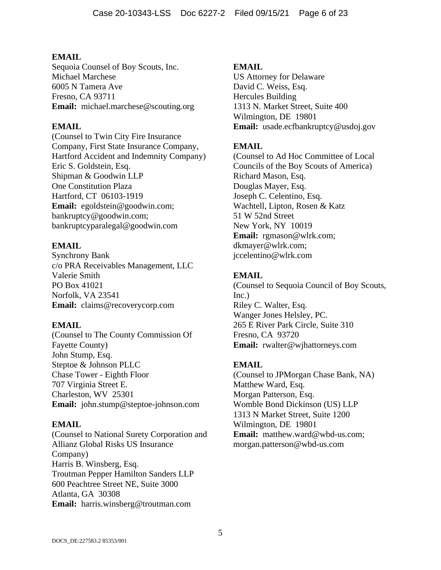Sequoia Counsel of Boy Scouts, Inc. Michael Marchese 6005 N Tamera Ave Fresno, CA 93711 **Email:** michael.marchese@scouting.org

# **EMAIL**

(Counsel to Twin City Fire Insurance Company, First State Insurance Company, Hartford Accident and Indemnity Company) Eric S. Goldstein, Esq. Shipman & Goodwin LLP One Constitution Plaza Hartford, CT 06103-1919 **Email:** egoldstein@goodwin.com; bankruptcy@goodwin.com; bankruptcyparalegal@goodwin.com

# **EMAIL**

Synchrony Bank c/o PRA Receivables Management, LLC Valerie Smith PO Box 41021 Norfolk, VA 23541 **Email:** claims@recoverycorp.com

# **EMAIL**

(Counsel to The County Commission Of Fayette County) John Stump, Esq. Steptoe & Johnson PLLC Chase Tower - Eighth Floor 707 Virginia Street E. Charleston, WV 25301 **Email:** john.stump@steptoe-johnson.com

# **EMAIL**

(Counsel to National Surety Corporation and Allianz Global Risks US Insurance Company) Harris B. Winsberg, Esq. Troutman Pepper Hamilton Sanders LLP 600 Peachtree Street NE, Suite 3000 Atlanta, GA 30308 **Email:** harris.winsberg@troutman.com

# **EMAIL**

US Attorney for Delaware David C. Weiss, Esq. Hercules Building 1313 N. Market Street, Suite 400 Wilmington, DE 19801 **Email:** usade.ecfbankruptcy@usdoj.gov

# **EMAIL**

(Counsel to Ad Hoc Committee of Local Councils of the Boy Scouts of America) Richard Mason, Esq. Douglas Mayer, Esq. Joseph C. Celentino, Esq. Wachtell, Lipton, Rosen & Katz 51 W 52nd Street New York, NY 10019 **Email:** rgmason@wlrk.com; dkmayer@wlrk.com; jccelentino@wlrk.com

# **EMAIL**

(Counsel to Sequoia Council of Boy Scouts, Inc.) Riley C. Walter, Esq. Wanger Jones Helsley, PC. 265 E River Park Circle, Suite 310 Fresno, CA 93720 **Email:** rwalter@wjhattorneys.com

# **EMAIL**

(Counsel to JPMorgan Chase Bank, NA) Matthew Ward, Esq. Morgan Patterson, Esq. Womble Bond Dickinson (US) LLP 1313 N Market Street, Suite 1200 Wilmington, DE 19801 **Email:** matthew.ward@wbd-us.com; morgan.patterson@wbd-us.com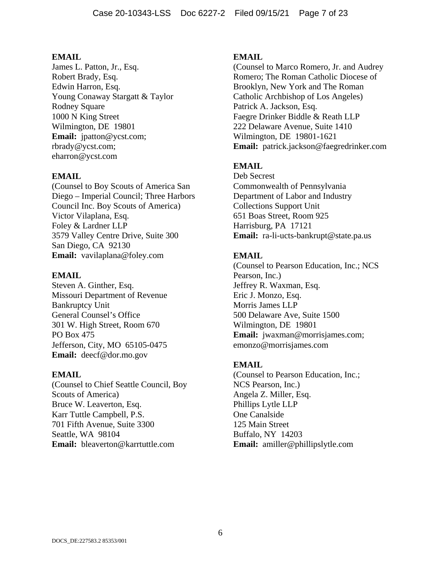James L. Patton, Jr., Esq. Robert Brady, Esq. Edwin Harron, Esq. Young Conaway Stargatt & Taylor Rodney Square 1000 N King Street Wilmington, DE 19801 **Email:** jpatton@ycst.com; rbrady@ycst.com; eharron@ycst.com

# **EMAIL**

(Counsel to Boy Scouts of America San Diego – Imperial Council; Three Harbors Council Inc. Boy Scouts of America) Victor Vilaplana, Esq. Foley & Lardner LLP 3579 Valley Centre Drive, Suite 300 San Diego, CA 92130 **Email:** vavilaplana@foley.com

## **EMAIL**

Steven A. Ginther, Esq. Missouri Department of Revenue Bankruptcy Unit General Counsel's Office 301 W. High Street, Room 670 PO Box 475 Jefferson, City, MO 65105-0475 **Email:** deecf@dor.mo.gov

## **EMAIL**

(Counsel to Chief Seattle Council, Boy Scouts of America) Bruce W. Leaverton, Esq. Karr Tuttle Campbell, P.S. 701 Fifth Avenue, Suite 3300 Seattle, WA 98104 **Email:** bleaverton@karrtuttle.com

# **EMAIL**

(Counsel to Marco Romero, Jr. and Audrey Romero; The Roman Catholic Diocese of Brooklyn, New York and The Roman Catholic Archbishop of Los Angeles) Patrick A. Jackson, Esq. Faegre Drinker Biddle & Reath LLP 222 Delaware Avenue, Suite 1410 Wilmington, DE 19801-1621 **Email:** patrick.jackson@faegredrinker.com

# **EMAIL**

Deb Secrest Commonwealth of Pennsylvania Department of Labor and Industry Collections Support Unit 651 Boas Street, Room 925 Harrisburg, PA 17121 **Email:** ra-li-ucts-bankrupt@state.pa.us

# **EMAIL**

(Counsel to Pearson Education, Inc.; NCS Pearson, Inc.) Jeffrey R. Waxman, Esq. Eric J. Monzo, Esq. Morris James LLP 500 Delaware Ave, Suite 1500 Wilmington, DE 19801 **Email:** jwaxman@morrisjames.com; emonzo@morrisjames.com

## **EMAIL**

(Counsel to Pearson Education, Inc.; NCS Pearson, Inc.) Angela Z. Miller, Esq. Phillips Lytle LLP One Canalside 125 Main Street Buffalo, NY 14203 **Email:** amiller@phillipslytle.com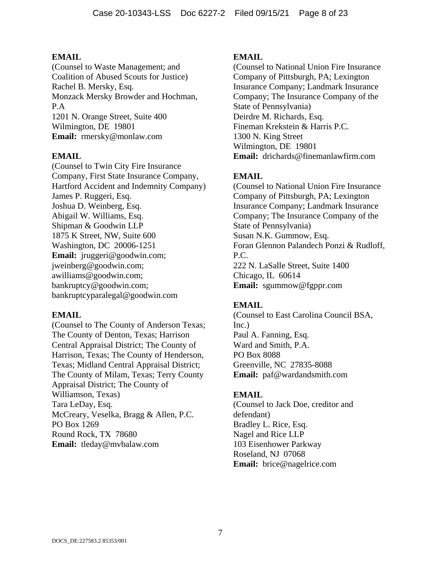(Counsel to Waste Management; and Coalition of Abused Scouts for Justice) Rachel B. Mersky, Esq. Monzack Mersky Browder and Hochman, P.A 1201 N. Orange Street, Suite 400 Wilmington, DE 19801 **Email:** rmersky@monlaw.com

## **EMAIL**

(Counsel to Twin City Fire Insurance Company, First State Insurance Company, Hartford Accident and Indemnity Company) James P. Ruggeri, Esq. Joshua D. Weinberg, Esq. Abigail W. Williams, Esq. Shipman & Goodwin LLP 1875 K Street, NW, Suite 600 Washington, DC 20006-1251 **Email:** jruggeri@goodwin.com; jweinberg@goodwin.com; awilliams@goodwin.com; bankruptcy@goodwin.com; bankruptcyparalegal@goodwin.com

## **EMAIL**

(Counsel to The County of Anderson Texas; The County of Denton, Texas; Harrison Central Appraisal District; The County of Harrison, Texas; The County of Henderson, Texas; Midland Central Appraisal District; The County of Milam, Texas; Terry County Appraisal District; The County of Williamson, Texas) Tara LeDay, Esq. McCreary, Veselka, Bragg & Allen, P.C. PO Box 1269 Round Rock, TX 78680 **Email:** tleday@mvbalaw.com

## **EMAIL**

(Counsel to National Union Fire Insurance Company of Pittsburgh, PA; Lexington Insurance Company; Landmark Insurance Company; The Insurance Company of the State of Pennsylvania) Deirdre M. Richards, Esq. Fineman Krekstein & Harris P.C. 1300 N. King Street Wilmington, DE 19801 **Email:** drichards@finemanlawfirm.com

# **EMAIL**

(Counsel to National Union Fire Insurance Company of Pittsburgh, PA; Lexington Insurance Company; Landmark Insurance Company; The Insurance Company of the State of Pennsylvania) Susan N.K. Gummow, Esq. Foran Glennon Palandech Ponzi & Rudloff, P.C. 222 N. LaSalle Street, Suite 1400 Chicago, IL 60614 **Email:** sgummow@fgppr.com

# **EMAIL**

(Counsel to East Carolina Council BSA, Inc.) Paul A. Fanning, Esq. Ward and Smith, P.A. PO Box 8088 Greenville, NC 27835-8088 **Email:** paf@wardandsmith.com

## **EMAIL**

(Counsel to Jack Doe, creditor and defendant) Bradley L. Rice, Esq. Nagel and Rice LLP 103 Eisenhower Parkway Roseland, NJ 07068 **Email:** brice@nagelrice.com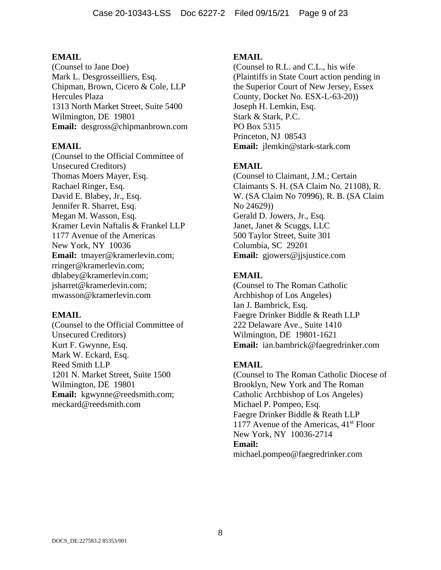(Counsel to Jane Doe) Mark L. Desgrosseilliers, Esq. Chipman, Brown, Cicero & Cole, LLP Hercules Plaza 1313 North Market Street, Suite 5400 Wilmington, DE 19801 **Email:** desgross@chipmanbrown.com

### **EMAIL**

(Counsel to the Official Committee of Unsecured Creditors) Thomas Moers Mayer, Esq. Rachael Ringer, Esq. David E. Blabey, Jr., Esq. Jennifer R. Sharret, Esq. Megan M. Wasson, Esq. Kramer Levin Naftalis & Frankel LLP 1177 Avenue of the Americas New York, NY 10036 **Email:** tmayer@kramerlevin.com; rringer@kramerlevin.com; dblabey@kramerlevin.com; jsharret@kramerlevin.com; mwasson@kramerlevin.com

#### **EMAIL**

(Counsel to the Official Committee of Unsecured Creditors) Kurt F. Gwynne, Esq. Mark W. Eckard, Esq. Reed Smith LLP 1201 N. Market Street, Suite 1500 Wilmington, DE 19801 **Email:** kgwynne@reedsmith.com; meckard@reedsmith.com

#### **EMAIL**

(Counsel to R.L. and C.L., his wife (Plaintiffs in State Court action pending in the Superior Court of New Jersey, Essex County, Docket No. ESX-L-63-20)) Joseph H. Lemkin, Esq. Stark & Stark, P.C. PO Box 5315 Princeton, NJ 08543 **Email:** jlemkin@stark-stark.com

### **EMAIL**

(Counsel to Claimant, J.M.; Certain Claimants S. H. (SA Claim No. 21108), R. W. (SA Claim No 70996), R. B. (SA Claim No 24629)) Gerald D. Jowers, Jr., Esq. Janet, Janet & Scuggs, LLC 500 Taylor Street, Suite 301 Columbia, SC 29201 **Email:** gjowers@jjsjustice.com

#### **EMAIL**

(Counsel to The Roman Catholic Archbishop of Los Angeles) Ian J. Bambrick, Esq. Faegre Drinker Biddle & Reath LLP 222 Delaware Ave., Suite 1410 Wilmington, DE 19801-1621 **Email:** ian.bambrick@faegredrinker.com

### **EMAIL**

(Counsel to The Roman Catholic Diocese of Brooklyn, New York and The Roman Catholic Archbishop of Los Angeles) Michael P. Pompeo, Esq. Faegre Drinker Biddle & Reath LLP 1177 Avenue of the Americas,  $41<sup>st</sup>$  Floor New York, NY 10036-2714 **Email:** michael.pompeo@faegredrinker.com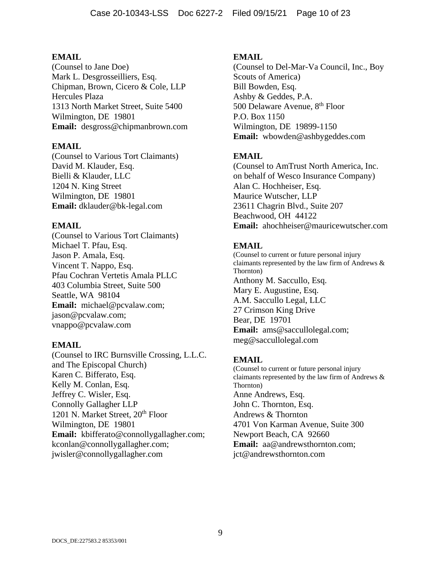(Counsel to Jane Doe) Mark L. Desgrosseilliers, Esq. Chipman, Brown, Cicero & Cole, LLP Hercules Plaza 1313 North Market Street, Suite 5400 Wilmington, DE 19801 **Email:** desgross@chipmanbrown.com

# **EMAIL**

(Counsel to Various Tort Claimants) David M. Klauder, Esq. Bielli & Klauder, LLC 1204 N. King Street Wilmington, DE 19801 **Email:** dklauder@bk-legal.com

# **EMAIL**

(Counsel to Various Tort Claimants) Michael T. Pfau, Esq. Jason P. Amala, Esq. Vincent T. Nappo, Esq. Pfau Cochran Vertetis Amala PLLC 403 Columbia Street, Suite 500 Seattle, WA 98104 **Email:** michael@pcvalaw.com; jason@pcvalaw.com; vnappo@pcvalaw.com

## **EMAIL**

(Counsel to IRC Burnsville Crossing, L.L.C. and The Episcopal Church) Karen C. Bifferato, Esq. Kelly M. Conlan, Esq. Jeffrey C. Wisler, Esq. Connolly Gallagher LLP 1201 N. Market Street, 20<sup>th</sup> Floor Wilmington, DE 19801 **Email:** kbifferato@connollygallagher.com; kconlan@connollygallagher.com; jwisler@connollygallagher.com

# **EMAIL**

(Counsel to Del-Mar-Va Council, Inc., Boy Scouts of America) Bill Bowden, Esq. Ashby & Geddes, P.A. 500 Delaware Avenue, 8<sup>th</sup> Floor P.O. Box 1150 Wilmington, DE 19899-1150 **Email:** wbowden@ashbygeddes.com

# **EMAIL**

(Counsel to AmTrust North America, Inc. on behalf of Wesco Insurance Company) Alan C. Hochheiser, Esq. Maurice Wutscher, LLP 23611 Chagrin Blvd., Suite 207 Beachwood, OH 44122 **Email:** ahochheiser@mauricewutscher.com

# **EMAIL**

(Counsel to current or future personal injury claimants represented by the law firm of Andrews & Thornton) Anthony M. Saccullo, Esq. Mary E. Augustine, Esq. A.M. Saccullo Legal, LLC 27 Crimson King Drive Bear, DE 19701 **Email:** ams@saccullolegal.com; meg@saccullolegal.com

# **EMAIL**

(Counsel to current or future personal injury claimants represented by the law firm of Andrews & Thornton) Anne Andrews, Esq. John C. Thornton, Esq. Andrews & Thornton 4701 Von Karman Avenue, Suite 300 Newport Beach, CA 92660 **Email:** aa@andrewsthornton.com; jct@andrewsthornton.com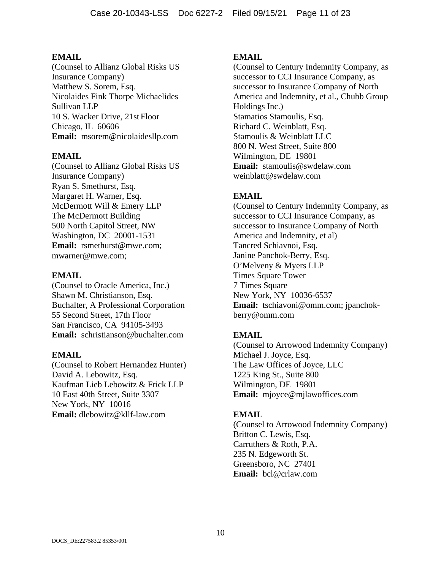(Counsel to Allianz Global Risks US Insurance Company) Matthew S. Sorem, Esq. Nicolaides Fink Thorpe Michaelides Sullivan LLP 10 S. Wacker Drive, 21st Floor Chicago, IL 60606 **Email:** msorem@nicolaidesllp.com

## **EMAIL**

(Counsel to Allianz Global Risks US Insurance Company) Ryan S. Smethurst, Esq. Margaret H. Warner, Esq. McDermott Will & Emery LLP The McDermott Building 500 North Capitol Street, NW Washington, DC 20001-1531 **Email:** rsmethurst@mwe.com; mwarner@mwe.com;

### **EMAIL**

(Counsel to Oracle America, Inc.) Shawn M. Christianson, Esq. Buchalter, A Professional Corporation 55 Second Street, 17th Floor San Francisco, CA 94105-3493 **Email:** schristianson@buchalter.com

## **EMAIL**

(Counsel to Robert Hernandez Hunter) David A. Lebowitz, Esq. Kaufman Lieb Lebowitz & Frick LLP 10 East 40th Street, Suite 3307 New York, NY 10016 **Email:** dlebowitz@kllf-law.com

# **EMAIL**

(Counsel to Century Indemnity Company, as successor to CCI Insurance Company, as successor to Insurance Company of North America and Indemnity, et al., Chubb Group Holdings Inc.) Stamatios Stamoulis, Esq. Richard C. Weinblatt, Esq. Stamoulis & Weinblatt LLC 800 N. West Street, Suite 800 Wilmington, DE 19801 **Email:** stamoulis@swdelaw.com weinblatt@swdelaw.com

# **EMAIL**

(Counsel to Century Indemnity Company, as successor to CCI Insurance Company, as successor to Insurance Company of North America and Indemnity, et al) Tancred Schiavnoi, Esq. Janine Panchok-Berry, Esq. O'Melveny & Myers LLP Times Square Tower 7 Times Square New York, NY 10036-6537 **Email:** tschiavoni@omm.com; jpanchokberry@omm.com

# **EMAIL**

(Counsel to Arrowood Indemnity Company) Michael J. Joyce, Esq. The Law Offices of Joyce, LLC 1225 King St., Suite 800 Wilmington, DE 19801 **Email:** mjoyce@mjlawoffices.com

## **EMAIL**

(Counsel to Arrowood Indemnity Company) Britton C. Lewis, Esq. Carruthers & Roth, P.A. 235 N. Edgeworth St. Greensboro, NC 27401 **Email:** bcl@crlaw.com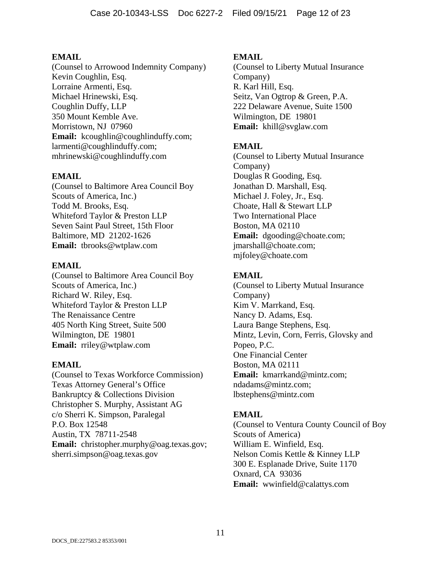(Counsel to Arrowood Indemnity Company) Kevin Coughlin, Esq. Lorraine Armenti, Esq. Michael Hrinewski, Esq. Coughlin Duffy, LLP 350 Mount Kemble Ave. Morristown, NJ 07960 Email: kcoughlin@coughlinduffy.com; larmenti@coughlinduffy.com; mhrinewski@coughlinduffy.com

# **EMAIL**

(Counsel to Baltimore Area Council Boy Scouts of America, Inc.) Todd M. Brooks, Esq. Whiteford Taylor & Preston LLP Seven Saint Paul Street, 15th Floor Baltimore, MD 21202-1626 **Email:** tbrooks@wtplaw.com

## **EMAIL**

(Counsel to Baltimore Area Council Boy Scouts of America, Inc.) Richard W. Riley, Esq. Whiteford Taylor & Preston LLP The Renaissance Centre 405 North King Street, Suite 500 Wilmington, DE 19801 **Email:** rriley@wtplaw.com

## **EMAIL**

(Counsel to Texas Workforce Commission) Texas Attorney General's Office Bankruptcy & Collections Division Christopher S. Murphy, Assistant AG c/o Sherri K. Simpson, Paralegal P.O. Box 12548 Austin, TX 78711-2548 **Email:** christopher.murphy@oag.texas.gov; sherri.simpson@oag.texas.gov

# **EMAIL**

(Counsel to Liberty Mutual Insurance Company) R. Karl Hill, Esq. Seitz, Van Ogtrop & Green, P.A. 222 Delaware Avenue, Suite 1500 Wilmington, DE 19801 **Email:** khill@svglaw.com

# **EMAIL**

(Counsel to Liberty Mutual Insurance Company) Douglas R Gooding, Esq. Jonathan D. Marshall, Esq. Michael J. Foley, Jr., Esq. Choate, Hall & Stewart LLP Two International Place Boston, MA 02110 **Email:** dgooding@choate.com; jmarshall@choate.com; mjfoley@choate.com

# **EMAIL**

(Counsel to Liberty Mutual Insurance Company) Kim V. Marrkand, Esq. Nancy D. Adams, Esq. Laura Bange Stephens, Esq. Mintz, Levin, Corn, Ferris, Glovsky and Popeo, P.C. One Financial Center Boston, MA 02111 **Email:** kmarrkand@mintz.com; ndadams@mintz.com; lbstephens@mintz.com

# **EMAIL**

(Counsel to Ventura County Council of Boy Scouts of America) William E. Winfield, Esq. Nelson Comis Kettle & Kinney LLP 300 E. Esplanade Drive, Suite 1170 Oxnard, CA 93036 **Email:** wwinfield@calattys.com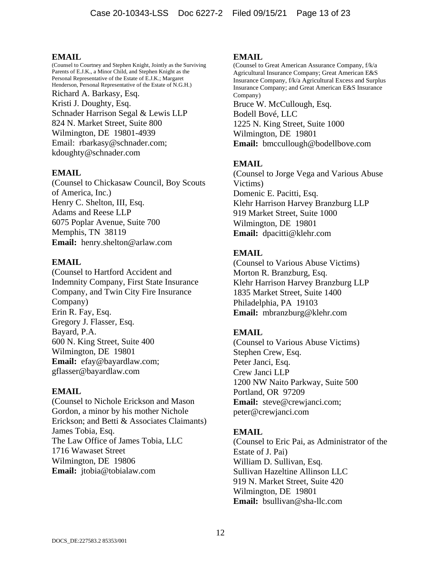(Counsel to Courtney and Stephen Knight, Jointly as the Surviving Parents of E.J.K., a Minor Child, and Stephen Knight as the Personal Representative of the Estate of E.J.K.; Margaret Henderson, Personal Representative of the Estate of N.G.H.) Richard A. Barkasy, Esq. Kristi J. Doughty, Esq. Schnader Harrison Segal & Lewis LLP 824 N. Market Street, Suite 800 Wilmington, DE 19801-4939 Email: rbarkasy@schnader.com; kdoughty@schnader.com

## **EMAIL**

(Counsel to Chickasaw Council, Boy Scouts of America, Inc.) Henry C. Shelton, III, Esq. Adams and Reese LLP 6075 Poplar Avenue, Suite 700 Memphis, TN 38119 **Email:** henry.shelton@arlaw.com

## **EMAIL**

(Counsel to Hartford Accident and Indemnity Company, First State Insurance Company, and Twin City Fire Insurance Company) Erin R. Fay, Esq. Gregory J. Flasser, Esq. Bayard, P.A. 600 N. King Street, Suite 400 Wilmington, DE 19801 **Email:** efay@bayardlaw.com; gflasser@bayardlaw.com

## **EMAIL**

(Counsel to Nichole Erickson and Mason Gordon, a minor by his mother Nichole Erickson; and Betti & Associates Claimants) James Tobia, Esq. The Law Office of James Tobia, LLC 1716 Wawaset Street Wilmington, DE 19806 **Email:** jtobia@tobialaw.com

### **EMAIL**

(Counsel to Great American Assurance Company, f/k/a Agricultural Insurance Company; Great American E&S Insurance Company, f/k/a Agricultural Excess and Surplus Insurance Company; and Great American E&S Insurance Company) Bruce W. McCullough, Esq. Bodell Bové, LLC 1225 N. King Street, Suite 1000 Wilmington, DE 19801 **Email:** bmccullough@bodellbove.com

# **EMAIL**

(Counsel to Jorge Vega and Various Abuse Victims) Domenic E. Pacitti, Esq. Klehr Harrison Harvey Branzburg LLP 919 Market Street, Suite 1000 Wilmington, DE 19801 **Email:** dpacitti@klehr.com

# **EMAIL**

(Counsel to Various Abuse Victims) Morton R. Branzburg, Esq. Klehr Harrison Harvey Branzburg LLP 1835 Market Street, Suite 1400 Philadelphia, PA 19103 **Email:** mbranzburg@klehr.com

# **EMAIL**

(Counsel to Various Abuse Victims) Stephen Crew, Esq. Peter Janci, Esq. Crew Janci LLP 1200 NW Naito Parkway, Suite 500 Portland, OR 97209 **Email:** steve@crewjanci.com; peter@crewjanci.com

## **EMAIL**

(Counsel to Eric Pai, as Administrator of the Estate of J. Pai) William D. Sullivan, Esq. Sullivan Hazeltine Allinson LLC 919 N. Market Street, Suite 420 Wilmington, DE 19801 **Email:** bsullivan@sha-llc.com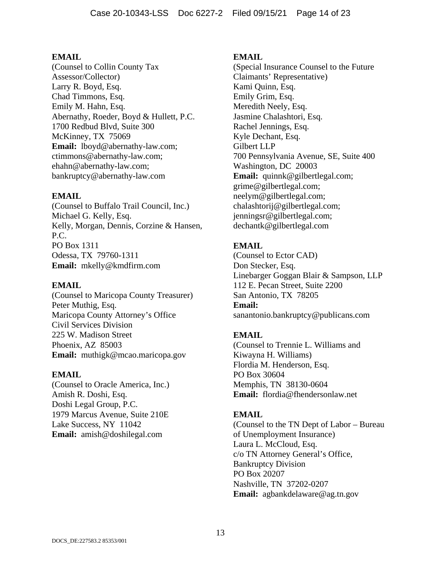(Counsel to Collin County Tax Assessor/Collector) Larry R. Boyd, Esq. Chad Timmons, Esq. Emily M. Hahn, Esq. Abernathy, Roeder, Boyd & Hullett, P.C. 1700 Redbud Blvd, Suite 300 McKinney, TX 75069 **Email:** lboyd@abernathy-law.com; ctimmons@abernathy-law.com; ehahn@abernathy-law.com; bankruptcy@abernathy-law.com

## **EMAIL**

(Counsel to Buffalo Trail Council, Inc.) Michael G. Kelly, Esq. Kelly, Morgan, Dennis, Corzine & Hansen, P.C. PO Box 1311 Odessa, TX 79760-1311 **Email:** mkelly@kmdfirm.com

# **EMAIL**

(Counsel to Maricopa County Treasurer) Peter Muthig, Esq. Maricopa County Attorney's Office Civil Services Division 225 W. Madison Street Phoenix, AZ 85003 **Email:** muthigk@mcao.maricopa.gov

## **EMAIL**

(Counsel to Oracle America, Inc.) Amish R. Doshi, Esq. Doshi Legal Group, P.C. 1979 Marcus Avenue, Suite 210E Lake Success, NY 11042 **Email:** amish@doshilegal.com

## **EMAIL**

(Special Insurance Counsel to the Future Claimants' Representative) Kami Quinn, Esq. Emily Grim, Esq. Meredith Neely, Esq. Jasmine Chalashtori, Esq. Rachel Jennings, Esq. Kyle Dechant, Esq. Gilbert LLP 700 Pennsylvania Avenue, SE, Suite 400 Washington, DC 20003 **Email:** quinnk@gilbertlegal.com; grime@gilbertlegal.com; neelym@gilbertlegal.com; chalashtorij@gilbertlegal.com; jenningsr@gilbertlegal.com; dechantk@gilbertlegal.com

# **EMAIL**

(Counsel to Ector CAD) Don Stecker, Esq. Linebarger Goggan Blair & Sampson, LLP 112 E. Pecan Street, Suite 2200 San Antonio, TX 78205 **Email:** sanantonio.bankruptcy@publicans.com

# **EMAIL**

(Counsel to Trennie L. Williams and Kiwayna H. Williams) Flordia M. Henderson, Esq. PO Box 30604 Memphis, TN 38130-0604 **Email:** flordia@fhendersonlaw.net

## **EMAIL**

(Counsel to the TN Dept of Labor – Bureau of Unemployment Insurance) Laura L. McCloud, Esq. c/o TN Attorney General's Office, Bankruptcy Division PO Box 20207 Nashville, TN 37202-0207 **Email:** agbankdelaware@ag.tn.gov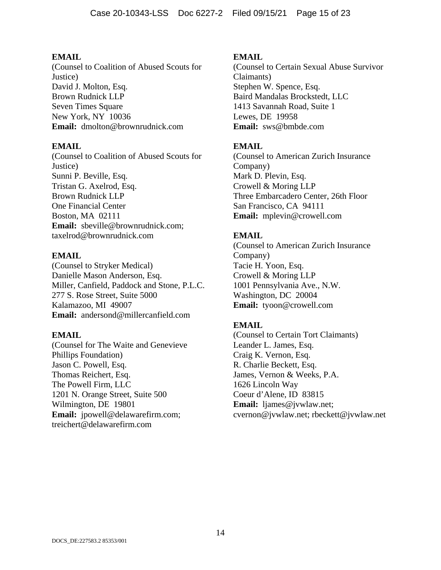(Counsel to Coalition of Abused Scouts for Justice) David J. Molton, Esq. Brown Rudnick LLP Seven Times Square New York, NY 10036 **Email:** dmolton@brownrudnick.com

# **EMAIL**

(Counsel to Coalition of Abused Scouts for Justice) Sunni P. Beville, Esq. Tristan G. Axelrod, Esq. Brown Rudnick LLP One Financial Center Boston, MA 02111 **Email:** sbeville@brownrudnick.com; taxelrod@brownrudnick.com

# **EMAIL**

(Counsel to Stryker Medical) Danielle Mason Anderson, Esq. Miller, Canfield, Paddock and Stone, P.L.C. 277 S. Rose Street, Suite 5000 Kalamazoo, MI 49007 **Email:** andersond@millercanfield.com

## **EMAIL**

(Counsel for The Waite and Genevieve Phillips Foundation) Jason C. Powell, Esq. Thomas Reichert, Esq. The Powell Firm, LLC 1201 N. Orange Street, Suite 500 Wilmington, DE 19801 **Email:** jpowell@delawarefirm.com; treichert@delawarefirm.com

# **EMAIL**

(Counsel to Certain Sexual Abuse Survivor Claimants) Stephen W. Spence, Esq. Baird Mandalas Brockstedt, LLC 1413 Savannah Road, Suite 1 Lewes, DE 19958 **Email:** sws@bmbde.com

# **EMAIL**

(Counsel to American Zurich Insurance Company) Mark D. Plevin, Esq. Crowell & Moring LLP Three Embarcadero Center, 26th Floor San Francisco, CA 94111 **Email:** mplevin@crowell.com

# **EMAIL**

(Counsel to American Zurich Insurance Company) Tacie H. Yoon, Esq. Crowell & Moring LLP 1001 Pennsylvania Ave., N.W. Washington, DC 20004 **Email:** tyoon@crowell.com

# **EMAIL**

(Counsel to Certain Tort Claimants) Leander L. James, Esq. Craig K. Vernon, Esq. R. Charlie Beckett, Esq. James, Vernon & Weeks, P.A. 1626 Lincoln Way Coeur d'Alene, ID 83815 **Email:** ljames@jvwlaw.net; cvernon@jvwlaw.net; rbeckett@jvwlaw.net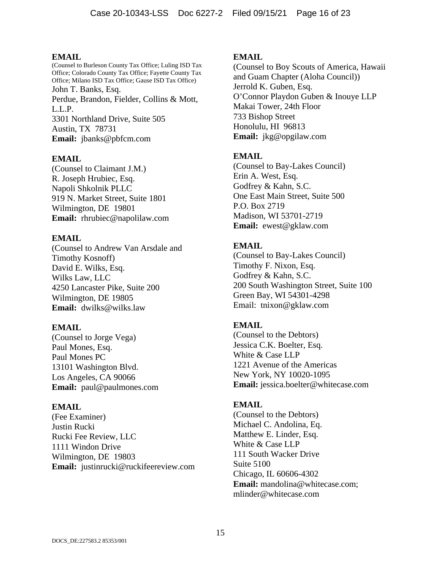(Counsel to Burleson County Tax Office; Luling ISD Tax Office; Colorado County Tax Office; Fayette County Tax Office; Milano ISD Tax Office; Gause ISD Tax Office) John T. Banks, Esq. Perdue, Brandon, Fielder, Collins & Mott, L.L.P. 3301 Northland Drive, Suite 505 Austin, TX 78731 **Email:** jbanks@pbfcm.com

# **EMAIL**

(Counsel to Claimant J.M.) R. Joseph Hrubiec, Esq. Napoli Shkolnik PLLC 919 N. Market Street, Suite 1801 Wilmington, DE 19801 **Email:** rhrubiec@napolilaw.com

# **EMAIL**

(Counsel to Andrew Van Arsdale and Timothy Kosnoff) David E. Wilks, Esq. Wilks Law, LLC 4250 Lancaster Pike, Suite 200 Wilmington, DE 19805 **Email:** dwilks@wilks.law

# **EMAIL**

(Counsel to Jorge Vega) Paul Mones, Esq. Paul Mones PC 13101 Washington Blvd. Los Angeles, CA 90066 **Email:** paul@paulmones.com

## **EMAIL**

(Fee Examiner) Justin Rucki Rucki Fee Review, LLC 1111 Windon Drive Wilmington, DE 19803 **Email:** justinrucki@ruckifeereview.com

# **EMAIL**

(Counsel to Boy Scouts of America, Hawaii and Guam Chapter (Aloha Council)) Jerrold K. Guben, Esq. O'Connor Playdon Guben & Inouye LLP Makai Tower, 24th Floor 733 Bishop Street Honolulu, HI 96813 **Email:** jkg@opgilaw.com

# **EMAIL**

(Counsel to Bay-Lakes Council) Erin A. West, Esq. Godfrey & Kahn, S.C. One East Main Street, Suite 500 P.O. Box 2719 Madison, WI 53701-2719 **Email:** ewest@gklaw.com

# **EMAIL**

(Counsel to Bay-Lakes Council) Timothy F. Nixon, Esq. Godfrey & Kahn, S.C. 200 South Washington Street, Suite 100 Green Bay, WI 54301-4298 Email: tnixon@gklaw.com

# **EMAIL**

(Counsel to the Debtors) Jessica C.K. Boelter, Esq. White & Case LLP 1221 Avenue of the Americas New York, NY 10020-1095 **Email:** jessica.boelter@whitecase.com

## **EMAIL**

(Counsel to the Debtors) Michael C. Andolina, Eq. Matthew E. Linder, Esq. White & Case LLP 111 South Wacker Drive Suite 5100 Chicago, IL 60606-4302 **Email:** mandolina@whitecase.com; mlinder@whitecase.com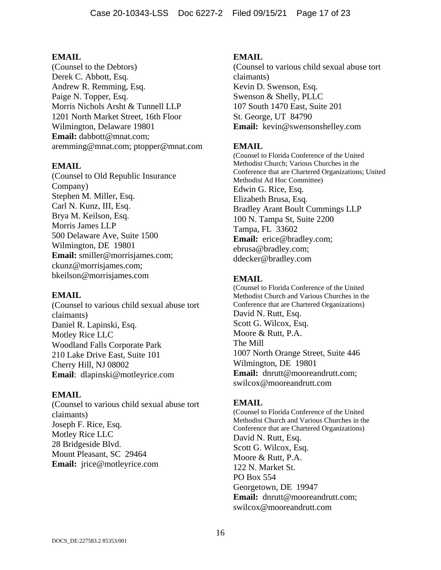(Counsel to the Debtors) Derek C. Abbott, Esq. Andrew R. Remming, Esq. Paige N. Topper, Esq. Morris Nichols Arsht & Tunnell LLP 1201 North Market Street, 16th Floor Wilmington, Delaware 19801 **Email:** dabbott@mnat.com; aremming@mnat.com; ptopper@mnat.com

# **EMAIL**

(Counsel to Old Republic Insurance Company) Stephen M. Miller, Esq. Carl N. Kunz, III, Esq. Brya M. Keilson, Esq. Morris James LLP 500 Delaware Ave, Suite 1500 Wilmington, DE 19801 **Email:** smiller@morrisjames.com; ckunz@morrisjames.com; bkeilson@morrisjames.com

## **EMAIL**

(Counsel to various child sexual abuse tort claimants) Daniel R. Lapinski, Esq. Motley Rice LLC Woodland Falls Corporate Park 210 Lake Drive East, Suite 101 Cherry Hill, NJ 08002 **Email**: dlapinski@motleyrice.com

## **EMAIL**

(Counsel to various child sexual abuse tort claimants) Joseph F. Rice, Esq. Motley Rice LLC 28 Bridgeside Blvd. Mount Pleasant, SC 29464 **Email:** jrice@motleyrice.com

# **EMAIL**

(Counsel to various child sexual abuse tort claimants) Kevin D. Swenson, Esq. Swenson & Shelly, PLLC 107 South 1470 East, Suite 201 St. George, UT 84790 **Email:** kevin@swensonshelley.com

# **EMAIL**

(Counsel to Florida Conference of the United Methodist Church; Various Churches in the Conference that are Chartered Organizations; United Methodist Ad Hoc Committee) Edwin G. Rice, Esq. Elizabeth Brusa, Esq. Bradley Arant Boult Cummings LLP 100 N. Tampa St, Suite 2200 Tampa, FL 33602 **Email:** erice@bradley.com; ebrusa@bradley.com; ddecker@bradley.com

# **EMAIL**

(Counsel to Florida Conference of the United Methodist Church and Various Churches in the Conference that are Chartered Organizations) David N. Rutt, Esq. Scott G. Wilcox, Esq. Moore & Rutt, P.A. The Mill 1007 North Orange Street, Suite 446 Wilmington, DE 19801 **Email:** dnrutt@mooreandrutt.com; swilcox@mooreandrutt.com

## **EMAIL**

(Counsel to Florida Conference of the United Methodist Church and Various Churches in the Conference that are Chartered Organizations) David N. Rutt, Esq. Scott G. Wilcox, Esq. Moore & Rutt, P.A. 122 N. Market St. PO Box 554 Georgetown, DE 19947 **Email:** dnrutt@mooreandrutt.com; swilcox@mooreandrutt.com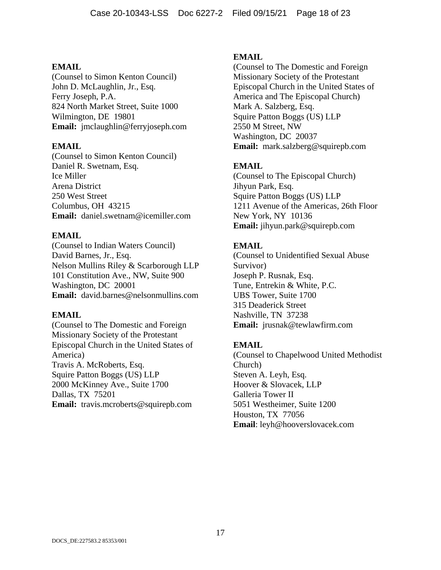(Counsel to Simon Kenton Council) John D. McLaughlin, Jr., Esq. Ferry Joseph, P.A. 824 North Market Street, Suite 1000 Wilmington, DE 19801 **Email:** jmclaughlin@ferryjoseph.com

### **EMAIL**

(Counsel to Simon Kenton Council) Daniel R. Swetnam, Esq. Ice Miller Arena District 250 West Street Columbus, OH 43215 **Email:** daniel.swetnam@icemiller.com

## **EMAIL**

(Counsel to Indian Waters Council) David Barnes, Jr., Esq. Nelson Mullins Riley & Scarborough LLP 101 Constitution Ave., NW, Suite 900 Washington, DC 20001 **Email:** david.barnes@nelsonmullins.com

## **EMAIL**

(Counsel to The Domestic and Foreign Missionary Society of the Protestant Episcopal Church in the United States of America) Travis A. McRoberts, Esq. Squire Patton Boggs (US) LLP 2000 McKinney Ave., Suite 1700 Dallas, TX 75201 **Email:** travis.mcroberts@squirepb.com

# **EMAIL**

(Counsel to The Domestic and Foreign Missionary Society of the Protestant Episcopal Church in the United States of America and The Episcopal Church) Mark A. Salzberg, Esq. Squire Patton Boggs (US) LLP 2550 M Street, NW Washington, DC 20037 **Email:** mark.salzberg@squirepb.com

# **EMAIL**

(Counsel to The Episcopal Church) Jihyun Park, Esq. Squire Patton Boggs (US) LLP 1211 Avenue of the Americas, 26th Floor New York, NY 10136 **Email:** jihyun.park@squirepb.com

# **EMAIL**

(Counsel to Unidentified Sexual Abuse Survivor) Joseph P. Rusnak, Esq. Tune, Entrekin & White, P.C. UBS Tower, Suite 1700 315 Deaderick Street Nashville, TN 37238 **Email:** jrusnak@tewlawfirm.com

# **EMAIL**

(Counsel to Chapelwood United Methodist Church) Steven A. Leyh, Esq. Hoover & Slovacek, LLP Galleria Tower II 5051 Westheimer, Suite 1200 Houston, TX 77056 **Email**: leyh@hooverslovacek.com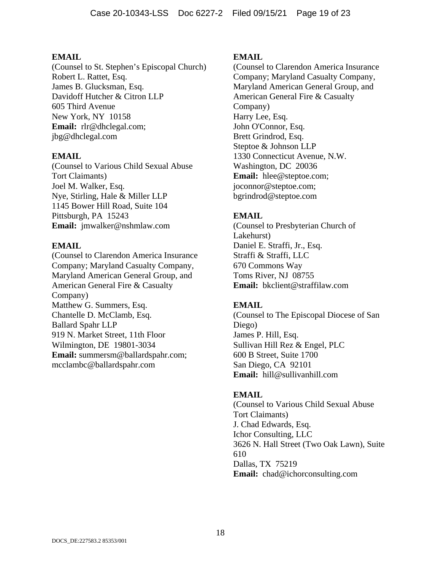(Counsel to St. Stephen's Episcopal Church) Robert L. Rattet, Esq. James B. Glucksman, Esq. Davidoff Hutcher & Citron LLP 605 Third Avenue New York, NY 10158 **Email:** rlr@dhclegal.com; jbg@dhclegal.com

## **EMAIL**

(Counsel to Various Child Sexual Abuse Tort Claimants) Joel M. Walker, Esq. Nye, Stirling, Hale & Miller LLP 1145 Bower Hill Road, Suite 104 Pittsburgh, PA 15243 **Email:** jmwalker@nshmlaw.com

# **EMAIL**

(Counsel to Clarendon America Insurance Company; Maryland Casualty Company, Maryland American General Group, and American General Fire & Casualty Company) Matthew G. Summers, Esq. Chantelle D. McClamb, Esq. Ballard Spahr LLP 919 N. Market Street, 11th Floor Wilmington, DE 19801-3034 **Email:** summersm@ballardspahr.com; mcclambc@ballardspahr.com

# **EMAIL**

(Counsel to Clarendon America Insurance Company; Maryland Casualty Company, Maryland American General Group, and American General Fire & Casualty Company) Harry Lee, Esq. John O'Connor, Esq. Brett Grindrod, Esq. Steptoe & Johnson LLP 1330 Connecticut Avenue, N.W. Washington, DC 20036 **Email:** hlee@steptoe.com; joconnor@steptoe.com; bgrindrod@steptoe.com

# **EMAIL**

(Counsel to Presbyterian Church of Lakehurst) Daniel E. Straffi, Jr., Esq. Straffi & Straffi, LLC 670 Commons Way Toms River, NJ 08755 **Email:** bkclient@straffilaw.com

# **EMAIL**

(Counsel to The Episcopal Diocese of San Diego) James P. Hill, Esq. Sullivan Hill Rez & Engel, PLC 600 B Street, Suite 1700 San Diego, CA 92101 **Email:** hill@sullivanhill.com

# **EMAIL**

(Counsel to Various Child Sexual Abuse Tort Claimants) J. Chad Edwards, Esq. Ichor Consulting, LLC 3626 N. Hall Street (Two Oak Lawn), Suite 610 Dallas, TX 75219 **Email:** chad@ichorconsulting.com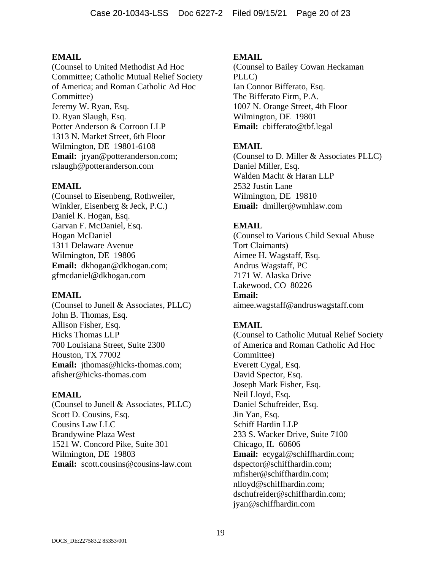(Counsel to United Methodist Ad Hoc Committee; Catholic Mutual Relief Society of America; and Roman Catholic Ad Hoc Committee) Jeremy W. Ryan, Esq. D. Ryan Slaugh, Esq. Potter Anderson & Corroon LLP 1313 N. Market Street, 6th Floor Wilmington, DE 19801-6108 **Email:** jryan@potteranderson.com; rslaugh@potteranderson.com

# **EMAIL**

(Counsel to Eisenbeng, Rothweiler, Winkler, Eisenberg & Jeck, P.C.) Daniel K. Hogan, Esq. Garvan F. McDaniel, Esq. Hogan McDaniel 1311 Delaware Avenue Wilmington, DE 19806 **Email:** dkhogan@dkhogan.com; gfmcdaniel@dkhogan.com

## **EMAIL**

(Counsel to Junell & Associates, PLLC) John B. Thomas, Esq. Allison Fisher, Esq. Hicks Thomas LLP 700 Louisiana Street, Suite 2300 Houston, TX 77002 Email: jthomas@hicks-thomas.com; afisher@hicks-thomas.com

## **EMAIL**

(Counsel to Junell & Associates, PLLC) Scott D. Cousins, Esq. Cousins Law LLC Brandywine Plaza West 1521 W. Concord Pike, Suite 301 Wilmington, DE 19803 **Email:** scott.cousins@cousins-law.com

## **EMAIL**

(Counsel to Bailey Cowan Heckaman PLLC) Ian Connor Bifferato, Esq. The Bifferato Firm, P.A. 1007 N. Orange Street, 4th Floor Wilmington, DE 19801 **Email:** cbifferato@tbf.legal

# **EMAIL**

(Counsel to D. Miller & Associates PLLC) Daniel Miller, Esq. Walden Macht & Haran LLP 2532 Justin Lane Wilmington, DE 19810 **Email:** dmiller@wmhlaw.com

# **EMAIL**

(Counsel to Various Child Sexual Abuse Tort Claimants) Aimee H. Wagstaff, Esq. Andrus Wagstaff, PC 7171 W. Alaska Drive Lakewood, CO 80226 **Email:** aimee.wagstaff@andruswagstaff.com

# **EMAIL**

(Counsel to Catholic Mutual Relief Society of America and Roman Catholic Ad Hoc Committee) Everett Cygal, Esq. David Spector, Esq. Joseph Mark Fisher, Esq. Neil Lloyd, Esq. Daniel Schufreider, Esq. Jin Yan, Esq. Schiff Hardin LLP 233 S. Wacker Drive, Suite 7100 Chicago, IL 60606 **Email:** ecygal@schiffhardin.com; dspector@schiffhardin.com; mfisher@schiffhardin.com; nlloyd@schiffhardin.com; dschufreider@schiffhardin.com; jyan@schiffhardin.com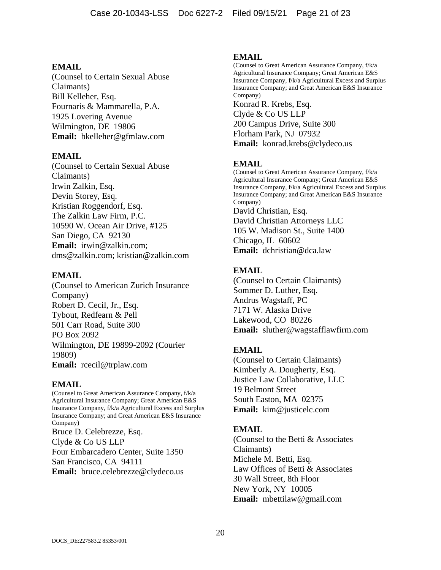(Counsel to Certain Sexual Abuse Claimants) Bill Kelleher, Esq. Fournaris & Mammarella, P.A. 1925 Lovering Avenue Wilmington, DE 19806 **Email:** bkelleher@gfmlaw.com

### **EMAIL**

(Counsel to Certain Sexual Abuse Claimants) Irwin Zalkin, Esq. Devin Storey, Esq. Kristian Roggendorf, Esq. The Zalkin Law Firm, P.C. 10590 W. Ocean Air Drive, #125 San Diego, CA 92130 **Email:** irwin@zalkin.com; dms@zalkin.com; kristian@zalkin.com

### **EMAIL**

(Counsel to American Zurich Insurance Company) Robert D. Cecil, Jr., Esq. Tybout, Redfearn & Pell 501 Carr Road, Suite 300 PO Box 2092 Wilmington, DE 19899-2092 (Courier 19809) **Email:** rcecil@trplaw.com

## **EMAIL**

(Counsel to Great American Assurance Company, f/k/a Agricultural Insurance Company; Great American E&S Insurance Company, f/k/a Agricultural Excess and Surplus Insurance Company; and Great American E&S Insurance Company) Bruce D. Celebrezze, Esq. Clyde & Co US LLP Four Embarcadero Center, Suite 1350 San Francisco, CA 94111 **Email:** bruce.celebrezze@clydeco.us

### **EMAIL**

(Counsel to Great American Assurance Company, f/k/a Agricultural Insurance Company; Great American E&S Insurance Company, f/k/a Agricultural Excess and Surplus Insurance Company; and Great American E&S Insurance Company) Konrad R. Krebs, Esq. Clyde & Co US LLP 200 Campus Drive, Suite 300 Florham Park, NJ 07932 **Email:** konrad.krebs@clydeco.us

# **EMAIL**

(Counsel to Great American Assurance Company, f/k/a Agricultural Insurance Company; Great American E&S Insurance Company, f/k/a Agricultural Excess and Surplus Insurance Company; and Great American E&S Insurance Company) David Christian, Esq. David Christian Attorneys LLC 105 W. Madison St., Suite 1400 Chicago, IL 60602 **Email:** dchristian@dca.law

# **EMAIL**

(Counsel to Certain Claimants) Sommer D. Luther, Esq. Andrus Wagstaff, PC 7171 W. Alaska Drive Lakewood, CO 80226 **Email:** sluther@wagstafflawfirm.com

# **EMAIL**

(Counsel to Certain Claimants) Kimberly A. Dougherty, Esq. Justice Law Collaborative, LLC 19 Belmont Street South Easton, MA 02375 **Email:** kim@justicelc.com

## **EMAIL**

(Counsel to the Betti & Associates Claimants) Michele M. Betti, Esq. Law Offices of Betti & Associates 30 Wall Street, 8th Floor New York, NY 10005 **Email:** mbettilaw@gmail.com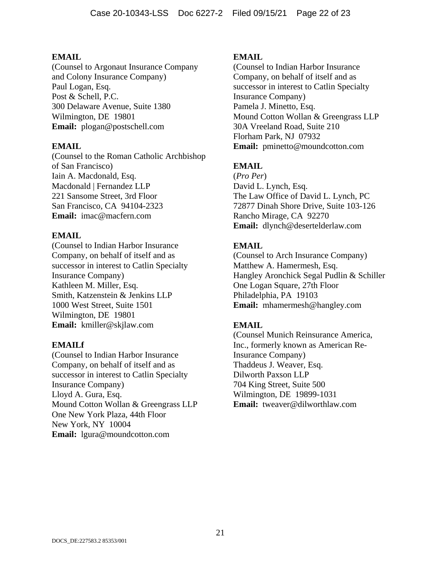(Counsel to Argonaut Insurance Company and Colony Insurance Company) Paul Logan, Esq. Post & Schell, P.C. 300 Delaware Avenue, Suite 1380 Wilmington, DE 19801 **Email:** plogan@postschell.com

# **EMAIL**

(Counsel to the Roman Catholic Archbishop of San Francisco) Iain A. Macdonald, Esq. Macdonald | Fernandez LLP 221 Sansome Street, 3rd Floor San Francisco, CA 94104-2323 **Email:** imac@macfern.com

# **EMAIL**

(Counsel to Indian Harbor Insurance Company, on behalf of itself and as successor in interest to Catlin Specialty Insurance Company) Kathleen M. Miller, Esq. Smith, Katzenstein & Jenkins LLP 1000 West Street, Suite 1501 Wilmington, DE 19801 **Email:** kmiller@skjlaw.com

## **EMAILf**

(Counsel to Indian Harbor Insurance Company, on behalf of itself and as successor in interest to Catlin Specialty Insurance Company) Lloyd A. Gura, Esq. Mound Cotton Wollan & Greengrass LLP One New York Plaza, 44th Floor New York, NY 10004 **Email:** lgura@moundcotton.com

# **EMAIL**

(Counsel to Indian Harbor Insurance Company, on behalf of itself and as successor in interest to Catlin Specialty Insurance Company) Pamela J. Minetto, Esq. Mound Cotton Wollan & Greengrass LLP 30A Vreeland Road, Suite 210 Florham Park, NJ 07932 **Email:** pminetto@moundcotton.com

# **EMAIL**

(*Pro Per*) David L. Lynch, Esq. The Law Office of David L. Lynch, PC 72877 Dinah Shore Drive, Suite 103-126 Rancho Mirage, CA 92270 **Email:** dlynch@desertelderlaw.com

# **EMAIL**

(Counsel to Arch Insurance Company) Matthew A. Hamermesh, Esq. Hangley Aronchick Segal Pudlin & Schiller One Logan Square, 27th Floor Philadelphia, PA 19103 **Email:** mhamermesh@hangley.com

# **EMAIL**

(Counsel Munich Reinsurance America, Inc., formerly known as American Re-Insurance Company) Thaddeus J. Weaver, Esq. Dilworth Paxson LLP 704 King Street, Suite 500 Wilmington, DE 19899-1031 **Email:** tweaver@dilworthlaw.com